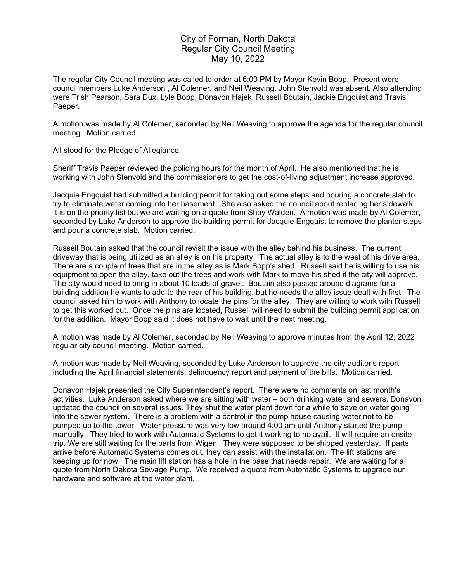## City of Forman, North Dakota Regular City Council Meeting May 10, 2022

The regular City Council meeting was called to order at 6:00 PM by Mayor Kevin Bopp. Present were council members Luke Anderson , Al Colemer, and Neil Weaving. John Stenvold was absent. Also attending were Trish Pearson, Sara Dux, Lyle Bopp, Donavon Hajek, Russell Boutain, Jackie Engquist and Travis Paeper.

A motion was made by Al Colemer, seconded by Neil Weaving to approve the agenda for the regular council meeting. Motion carried.

All stood for the Pledge of Allegiance.

Sheriff Travis Paeper reviewed the policing hours for the month of April. He also mentioned that he is working with John Stenvold and the commissioners to get the cost-of-living adjustment increase approved.

Jacquie Engquist had submitted a building permit for taking out some steps and pouring a concrete slab to try to eliminate water coming into her basement. She also asked the council about replacing her sidewalk. It is on the priority list but we are waiting on a quote from Shay Walden. A motion was made by Al Colemer, seconded by Luke Anderson to approve the building permit for Jacquie Engquist to remove the planter steps and pour a concrete slab. Motion carried.

Russell Boutain asked that the council revisit the issue with the alley behind his business. The current driveway that is being utilized as an alley is on his property. The actual alley is to the west of his drive area. There are a couple of trees that are in the alley as is Mark Bopp's shed. Russell said he is willing to use his equipment to open the alley, take out the trees and work with Mark to move his shed if the city will approve. The city would need to bring in about 10 loads of gravel. Boutain also passed around diagrams for a building addition he wants to add to the rear of his building, but he needs the alley issue dealt with first. The council asked him to work with Anthony to locate the pins for the alley. They are willing to work with Russell to get this worked out. Once the pins are located, Russell will need to submit the building permit application for the addition. Mayor Bopp said it does not have to wait until the next meeting.

A motion was made by Al Colemer, seconded by Neil Weaving to approve minutes from the April 12, 2022 regular city council meeting. Motion carried.

A motion was made by Neil Weaving, seconded by Luke Anderson to approve the city auditor's report including the April financial statements, delinquency report and payment of the bills. Motion carried.

Donavon Hajek presented the City Superintendent's report. There were no comments on last month's activities. Luke Anderson asked where we are sitting with water – both drinking water and sewers. Donavon updated the council on several issues. They shut the water plant down for a while to save on water going into the sewer system. There is a problem with a control in the pump house causing water not to be pumped up to the tower. Water pressure was very low around 4:00 am until Anthony started the pump manually. They tried to work with Automatic Systems to get it working to no avail. It will require an onsite trip. We are still waiting for the parts from Wigen. They were supposed to be shipped yesterday. If parts arrive before Automatic Systems comes out, they can assist with the installation. The lift stations are keeping up for now. The main lift station has a hole in the base that needs repair. We are waiting for a quote from North Dakota Sewage Pump. We received a quote from Automatic Systems to upgrade our hardware and software at the water plant.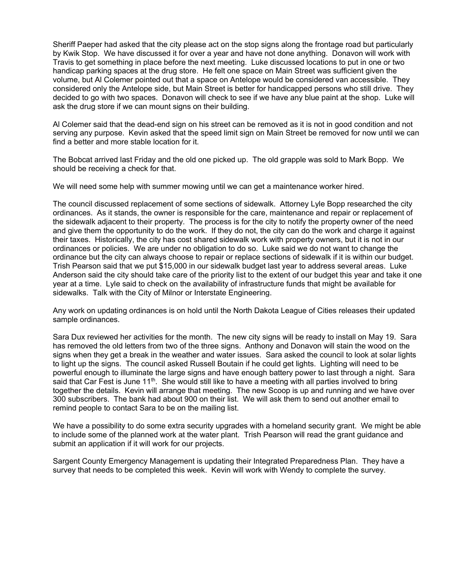Sheriff Paeper had asked that the city please act on the stop signs along the frontage road but particularly by Kwik Stop. We have discussed it for over a year and have not done anything. Donavon will work with Travis to get something in place before the next meeting. Luke discussed locations to put in one or two handicap parking spaces at the drug store. He felt one space on Main Street was sufficient given the volume, but Al Colemer pointed out that a space on Antelope would be considered van accessible. They considered only the Antelope side, but Main Street is better for handicapped persons who still drive. They decided to go with two spaces. Donavon will check to see if we have any blue paint at the shop. Luke will ask the drug store if we can mount signs on their building.

Al Colemer said that the dead-end sign on his street can be removed as it is not in good condition and not serving any purpose. Kevin asked that the speed limit sign on Main Street be removed for now until we can find a better and more stable location for it.

The Bobcat arrived last Friday and the old one picked up. The old grapple was sold to Mark Bopp. We should be receiving a check for that.

We will need some help with summer mowing until we can get a maintenance worker hired.

The council discussed replacement of some sections of sidewalk. Attorney Lyle Bopp researched the city ordinances. As it stands, the owner is responsible for the care, maintenance and repair or replacement of the sidewalk adjacent to their property. The process is for the city to notify the property owner of the need and give them the opportunity to do the work. If they do not, the city can do the work and charge it against their taxes. Historically, the city has cost shared sidewalk work with property owners, but it is not in our ordinances or policies. We are under no obligation to do so. Luke said we do not want to change the ordinance but the city can always choose to repair or replace sections of sidewalk if it is within our budget. Trish Pearson said that we put \$15,000 in our sidewalk budget last year to address several areas. Luke Anderson said the city should take care of the priority list to the extent of our budget this year and take it one year at a time. Lyle said to check on the availability of infrastructure funds that might be available for sidewalks. Talk with the City of Milnor or Interstate Engineering.

Any work on updating ordinances is on hold until the North Dakota League of Cities releases their updated sample ordinances.

Sara Dux reviewed her activities for the month. The new city signs will be ready to install on May 19. Sara has removed the old letters from two of the three signs. Anthony and Donavon will stain the wood on the signs when they get a break in the weather and water issues. Sara asked the council to look at solar lights to light up the signs. The council asked Russell Boutain if he could get lights. Lighting will need to be powerful enough to illuminate the large signs and have enough battery power to last through a night. Sara said that Car Fest is June 11<sup>th</sup>. She would still like to have a meeting with all parties involved to bring together the details. Kevin will arrange that meeting. The new Scoop is up and running and we have over 300 subscribers. The bank had about 900 on their list. We will ask them to send out another email to remind people to contact Sara to be on the mailing list.

We have a possibility to do some extra security upgrades with a homeland security grant. We might be able to include some of the planned work at the water plant. Trish Pearson will read the grant guidance and submit an application if it will work for our projects.

Sargent County Emergency Management is updating their Integrated Preparedness Plan. They have a survey that needs to be completed this week. Kevin will work with Wendy to complete the survey.